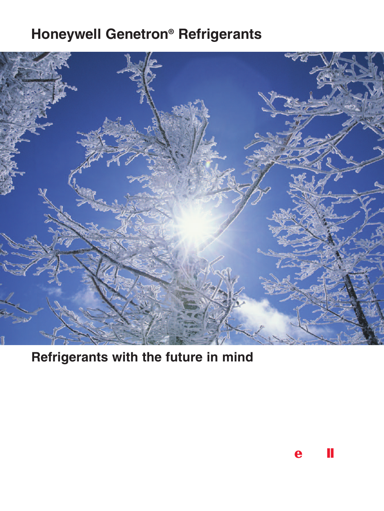# **Honeywell Genetron® Refrigerants**



 **Refrigerants with the future in mind**

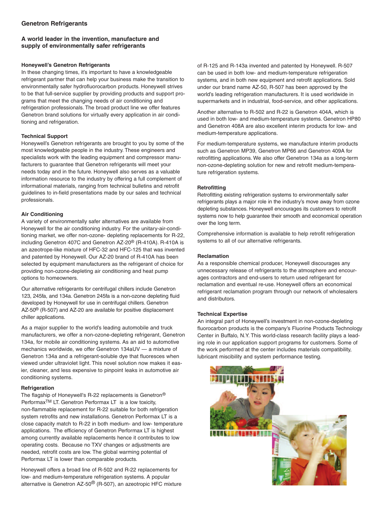## **Genetron Refrigerants**

## **A world leader in the invention, manufacture and supply of environmentally safer refrigerants**

## **Honeywell's Genetron Refrigerants**

 In these changing times, it's important to have a knowledgeable refrigerant partner that can help your business make the transition to environmentally safer hydrofluorocarbon products. Honeywell strives to be that full-service supplier by providing products and support pro- grams that meet the changing needs of air conditioning and refrigeration professionals. The broad product line we offer features Genetron brand solutions for virtually every application in air condi-tioning and refrigeration.

## **Technical Support**

 Honeywell's Genetron refrigerants are brought to you by some of the most knowledgeable people in the industry. These engineers and specialists work with the leading equipment and compressor manu- facturers to guarantee that Genetron refrigerants will meet your needs today and in the future. Honeywell also serves as a valuable information resource to the industry by offering a full complement of informational materials, ranging from technical bulletins and retrofit guidelines to in-field presentations made by our sales and technical professionals.

## **Air Conditioning**

 A variety of environmentally safer alternatives are available from Honeywell for the air conditioning industry. For the unitary-air-conditioning market, we offer non-ozone- depleting replacements for R-22, including Genetron 407C and Genetron AZ-20<sup>®</sup> (R-410A). R-410A is an azeotrope-like mixture of HFC-32 and HFC-125 that was invented and patented by Honeywell. Our AZ-20 brand of R-410A has been selected by equipment manufacturers as the refrigerant of choice for providing non-ozone-depleting air conditioning and heat pump options to homeowners.

 Our alternative refrigerants for centrifugal chillers include Genetron 123, 245fa, and 134a. Genetron 245fa is a non-ozone depleting fluid developed by Honeywell for use in centrifugal chillers. Genetron AZ-50<sup>®</sup> (R-507) and AZ-20 are available for positive displacement chiller applications.

 As a major supplier to the world's leading automobile and truck manufacturers, we offer a non-ozone-depleting refrigerant, Genetron 134a, for mobile air conditioning systems. As an aid to automotive mechanics worldwide, we offer Genetron 134aUV — a mixture of Genetron 134a and a refrigerant-soluble dye that fluoresces when viewed under ultraviolet light. This novel solution now makes it eas- ier, cleaner, and less expensive to pinpoint leaks in automotive air conditioning systems.

## **Refrigeration**

The flagship of Honeywell's R-22 replacements is Genetron® Performax<sup>TM</sup> LT. Genetron Performax LT is a low toxicity, non-flammable replacement for R-22 suitable for both refrigeration system retrofits and new installations. Genetron Performax LT is a close capacity match to R-22 in both medium- and low- temperature applications. The efficiency of Genetron Performax LT is highest among currently available replacements hence it contributes to low operating costs. Because no TXV changes or adjustments are needed, retrofit costs are low. The global warming potential of Performax LT is lower than comparable products.

Honeywell offers a broad line of R-502 and R-22 replacements for low- and medium-temperature refrigeration systems. A popular alternative is Genetron AZ-50<sup>®</sup> (R-507), an azeotropic HFC mixture of R-125 and R-143a invented and patented by Honeywell. R-507 can be used in both low- and medium-temperature refrigeration systems, and in both new equipment and retrofit applications. Sold under our brand name AZ-50, R-507 has been approved by the world's leading refrigeration manufacturers. It is used worldwide in supermarkets and in industrial, food-service, and other applications.

Another alternative to R-502 and R-22 is Genetron 404A, which is used in both low- and medium-temperature systems. Genetron HP80 and Genetron 408A are also excellent interim products for low- and medium-temperature applications.

For medium-temperature systems, we manufacture interim products such as Genetron MP39, Genetron MP66 and Genetron 409A for retrofitting applications. We also offer Genetron 134a as a long-term non-ozone-depleting solution for new and retrofit medium-temperature refrigeration systems.

## **Retrofitting**

 Retrofitting existing refrigeration systems to environmentally safer refrigerants plays a major role in the industry's move away from ozone depleting substances. Honeywell encourages its customers to retrofit systems now to help guarantee their smooth and economical operation over the long term.

 Comprehensive information is available to help retrofit refrigeration systems to all of our alternative refrigerants.

## **Reclamation**

 As a responsible chemical producer, Honeywell discourages any unnecessary release of refrigerants to the atmosphere and encourages contractors and end-users to return used refrigerant for reclamation and eventual re-use. Honeywell offers an economical refrigerant reclamation program through our network of wholesalers and distributors.

## **Technical Expertise**

An integral part of Honeywell's investment in non-ozone-depleting fluorocarbon products is the company's Fluorine Products Technology Center in Buffalo, N.Y. This world-class research facility plays a lead- ing role in our application support programs for customers. Some of the work performed at the center includes materials compatibility, lubricant miscibility and system performance testing.

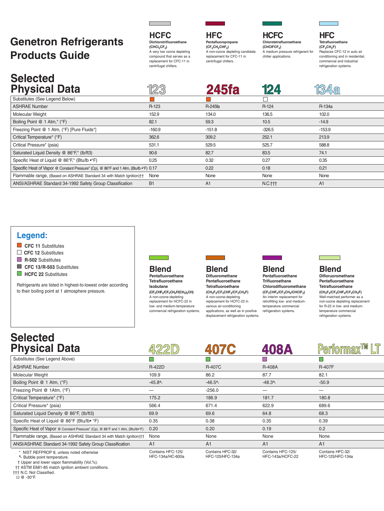# **Genetron Refrigerants Products Guide**

 A very low ozone depleting compound that serves as a replacement for CFC11 in centrifugal chillers. **HCFC Dichlorotrifluoroethane (CHCI2CF3)**

## **HFC**

A non-ozone depleting candidate<br>replacement for CFC-11 in centrifugal chillers. **Pentafluoropropane (CF3CH2CHF2)**

## **HCFC Chlorotetrafluoroethane**

**124**

 A medium pressure refrigerant for **(CHCIFCF3)** chiller applications.

### conditioning and in residential, **HFC Tetrafluoroethane (CF3CH2F)** Replaces CFC-12 in auto air

 commercial and industrial refrigeration systems.

**134a**

## Substitutes (See Legend Below) **Selected Physical Data 123 245fa**

| <b>ASHRAE Number</b>                                                                  | R-123          | R-245fa  | R-124               | R-134a         |
|---------------------------------------------------------------------------------------|----------------|----------|---------------------|----------------|
| Molecular Weight                                                                      | 152.9          | 134.0    | 136.5               | 102.0          |
| Boiling Point @ 1 Atm,* (°F)                                                          | 82.1           | 59.3     | 10.5                | $-14.9$        |
| Freezing Point @ 1 Atm, (°F) [Pure Fluids*]                                           | $-160.9$       | $-151.8$ | $-326.5$            | $-153.9$       |
| Critical Temperature* (°F)                                                            | 362.6          | 309.2    | 252.1               | 213.9          |
| Critical Pressure* (psia)                                                             | 531.1          | 529.5    | 525.7               | 588.8          |
| Saturated Liquid Density @ 86°F,* (lb/ft3)                                            | 90.6           | 82.7     | 83.5                | 74.1           |
| Specific Heat of Liquid @ 86°F,* (Btu/lb •°F)                                         | 0.25           | 0.32     | 0.27                | 0.35           |
| Specific Heat of Vapor @ Constant Pressure* (Cp), @ 86°F and 1 Atm, (Btu/lb .ºF) 0.17 |                | 0.22     | 0.18                | 0.21           |
| Flammable range, (Based on ASHRAE Standard 34 with Match Ignition)††                  | None           | None     | None                | None           |
| ANSI/ASHRAE Standard 34-1992 Safety Group Classification                              | B <sub>1</sub> | A1       | N.C. <sub>ttt</sub> | A <sub>1</sub> |

## **Legend:**

- **CFC** 11 Substitutes
- **CFC 12** Substitutes
- **R-502** Substitutes
- CFC 13/R-503 Substitutes
- **HCFC 22** Substitutes

Refrigerants are listed in highest-to-lowest order according to their boiling point at 1 atmosphere pressure.



### **Blend Pentafluoroethane Tetrafluoroethane Isobutane (CF3CHF2/CF3CH2F/(CH3)3CH)**

replacement for HCFC-22 in low- and medium-temperature A non-ozone-depleting commercial refrigeration systems.

# **Blend**

## **Difluoromethane Pentafluoroethane Tetrafluoroethane**

replacement for HCFC-22 in applications, as well as in positive displacement refrigeration systems. **(CH2F2/CF3CHF2/CF3CH2F)** A non-ozone-depleting various air-conditioning

## **Blend**

 An interim replacement for retrofitting low- and medium- refrigeration systems. **Pentafluoroethane Trifluoroethane Chlorodifluoromethane (CF3CHF2/CF3CH3/CHCIF2)** temperature commercial

## **Blend**

(CH<sub>2</sub>F<sub>2</sub>/CF<sub>3</sub>CHF<sub>2</sub>/CF<sub>3</sub>CH<sub>2</sub>F)<br>Well-matched performer as a Well-matched performer as a<br>non-ozone depleting replacement for R-22 in low- and medium-**Difloruoromethane Pentafluoroethane Tetrafluoroethane (CH2F2/CF3CHF2/CF3CH2F)** temperature commercial refrigeration systems.

## **Selected Physical Data**

| <b>Physical Data</b>                                                                                                                                                                                      |                                       | 407C                                 | 408A                                         | <b>Performax<sup>TM</sup></b>        |  |  |
|-----------------------------------------------------------------------------------------------------------------------------------------------------------------------------------------------------------|---------------------------------------|--------------------------------------|----------------------------------------------|--------------------------------------|--|--|
| Substitutes (See Legend Above)                                                                                                                                                                            |                                       |                                      |                                              |                                      |  |  |
| <b>ASHRAE Number</b>                                                                                                                                                                                      | <b>R-422D</b>                         | <b>R-407C</b>                        | <b>R-408A</b>                                | <b>R-407F</b>                        |  |  |
| Molecular Weight                                                                                                                                                                                          | 109.9                                 | 86.2                                 | 87.7                                         | 82.1                                 |  |  |
| Boiling Point @ 1 Atm, (°F)                                                                                                                                                                               | $-45.8$                               | $-46.5$                              | $-48.3$                                      | $-50.9$                              |  |  |
| Freezing Point @ 1Atm, (°F)                                                                                                                                                                               |                                       | $-256.0$                             |                                              |                                      |  |  |
| Critical Temperature* (°F)                                                                                                                                                                                | 175.2                                 | 186.9                                | 181.7                                        | 180.8                                |  |  |
| Critical Pressure* (psia)                                                                                                                                                                                 | 566.4                                 | 671.4                                | 622.9                                        | 689.6                                |  |  |
| Saturated Liquid Density @ 86°F, (lb/ft3)                                                                                                                                                                 | 69.9                                  | 69.6                                 | 64.8                                         | 68.3                                 |  |  |
| Specific Heat of Liquid @ 86°F (Btu/lb• °F)                                                                                                                                                               | 0.35                                  | 0.38                                 | 0.35                                         | 0.39                                 |  |  |
| Specific Heat of Vapor @ Constant Pressure* (Cp), @ 86°F and 1 Atm, (Btu/lb•°F)                                                                                                                           | 0.20                                  | 0.20                                 | 0.19                                         | 0.2                                  |  |  |
| Flammable range, (Based on ASHRAE Standard 34 with Match Ignition)††                                                                                                                                      | None                                  | None                                 | None                                         | None                                 |  |  |
| ANSI/ASHRAE Standard 34-1992 Safety Group Classification                                                                                                                                                  | A1                                    | A1                                   | A <sub>1</sub>                               | A <sub>1</sub>                       |  |  |
| * NIST REFPROP 8, unless noted otherwise<br>下 Bubble point temperature.<br>$\mathbf{r}$ , and $\mathbf{r}$ , and $\mathbf{r}$ , and $\mathbf{r}$ , and $\mathbf{r}$ , and $\mathbf{r}$ , and $\mathbf{r}$ | Contains HFC-125/<br>HFC-134a/HC-600a | Contains HFC-32/<br>HFC-125/HFC-134a | Contains HFC-125/<br><b>HFC-143a/HCFC-22</b> | Contains HFC-32/<br>HFC-125/HFC-134a |  |  |

† Upper and lower vapor flammability (Vol.%).

†† ASTM E681-85 match ignition ambient conditions.

 ††† N.C. Not Classified.  $\Omega$  @ -30°F.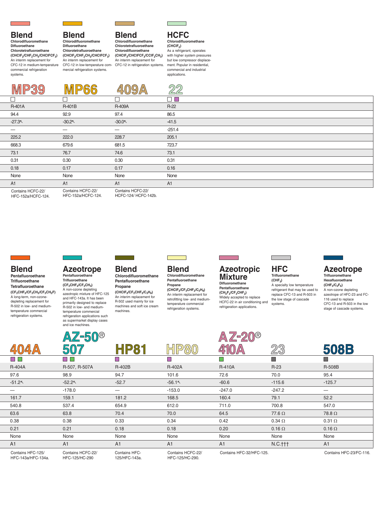systems.

l<br>L

 $\overline{a}$ 

 $\overline{\phantom{0}}$ 

## **Blend**

### **Chlorodifluoromethane Difluoroethane**

 An interim replacement for CFC-12 in medium-temperature **Chlorotetrafluoroethane (CHClF2/CHF2CH3/CHClFCF3)** commercial refrigeration

## **Blend Chlorodifluoromethane**

 An interim replacement for CFC-12 in low-temperature com- mercial refrigeration systems. **Difluoroethane Chlorotetrafluoroethane (CHClF2/CHF2CH3/CHClFCF3)**



## **Blend**

 An interim replacement for CFC-12 in refrigeration systems. **Chlorodifluoromethane Chlorotetrafluoroethane Chlorodifluoroethane (CHClF2/CHClFCF3/CClF2CH3)**

## As a refrigerant, operates **HCFC Chlorodifluoromethane (CHClF2)**

 with higher system pressures but low compressor displace- ment. Popular in residential, commercial and industrial applications.

|                   |                               |                   | <u>බග</u><br>$\sim$ |
|-------------------|-------------------------------|-------------------|---------------------|
|                   |                               |                   | ⊒<br><b>In</b>      |
| R-401A            | R-401B                        | <b>R-409A</b>     | $R-22$              |
| 94.4              | 92.9                          | 97.4              | 86.5                |
| $-27.3$           | $-30.2$                       | $-30.0$           | $-41.5$             |
|                   |                               |                   | $-251.4$            |
| 225.2             | 222.0                         | 228.7             | 205.1               |
| 668.3             | 679.6                         | 681.5             | 723.7               |
| 73.1              | 76.7                          | 74.6              | 73.1                |
| 0.31              | 0.30                          | 0.30              | 0.31                |
| 0.18              | 0.17                          | 0.17              | 0.16                |
| None              | None                          | None              | None                |
| A <sub>1</sub>    | A <sub>1</sub>                | A <sub>1</sub>    | A1                  |
| Contains HCFC-22/ | Contains HCFC-22/<br>$\cdots$ | Contains HCFC-22/ |                     |

HFC-152a/HCFC-124. HFC152a/HCFC124. HFC152a/HCFC124. HCFC124/ HCFC142b.

 $\overline{\phantom{a}}$ 

 $\overline{a}$ 

### A long-term, non-ozone- depleting replacement for R-502 in low- and mediumrefrigeration systems. **Blend Pentafluoroethane Trifluoroethane Tetrafluoroethane (CF3CHF2/CF3CH3/CF3CH2F)** temperature commercial

## **Azeotrope**

and ice machines.

A non-ozone depleting<br>azeotropic mixture of HFC-125 and HFC-143a. It has been primarily designed to replace R502 in low and medium- as supermarket display cases **Pentafluoroethane Trifluoroethane (CF3CHF2/CF3CH3)** temperature commercial refrigeration applications such

HFC143a/HFC134a. HFC125/HC290 125/HFC143a. HFC125/HC290.

## **Blend**

### An interim replacement for R-502 used mainly for ice **Chlorodifluoromethane Pentafluoroethane Propane**  $(CHCIF<sub>2</sub>/CF<sub>3</sub>CHF<sub>2</sub>/C<sub>3</sub>H<sub>8</sub>)$

 machines and soft ice cream machines.

### **Azeotropic Mixture Difluoromethane Pentafluoroethane**

 $\mathcal{A}$ 

# **(CH2F2/CF3CHF2)**

 Widely accepted to replace HCFC22 in air conditioning and refrigeration applications.

## **HFC Trifluoromethane**

 A specialty low temperature refrigerant that may be used to replace CFC-13 and R-503 in the low stage of cascade **(CHF3)** systems.

## **Azeotrope**

### A non-ozone depleting 116 used to replace **Trifluoromethane Hexafluoroethane**  $(CHF<sub>3</sub>/C<sub>2</sub>F<sub>6</sub>)$

azeotrope of HFC-23 and FC-CFC-13 and R-503 in the low stage of cascade systems.

|                                          | $AZ$ -50®                           |                                 |                                     | )(R                      |                |                         |
|------------------------------------------|-------------------------------------|---------------------------------|-------------------------------------|--------------------------|----------------|-------------------------|
|                                          | 507                                 | <b>HP81</b>                     |                                     |                          | 23             | <b>508B</b>             |
| $\Box$                                   |                                     | E                               |                                     |                          |                |                         |
| <b>R-404A</b>                            | R-507, R-507A                       | R-402B                          | R-402A                              | <b>R-410A</b>            | $R-23$         | <b>R-508B</b>           |
| 97.6                                     | 98.9                                | 94.7                            | 101.6                               | 72.6                     | 70.0           | 95.4                    |
| $-51.2$                                  | $-52.2$                             | $-52.7$                         | $-56.1$                             | $-60.6$                  | $-115.6$       | $-125.7$                |
|                                          | $-178.0$                            |                                 | $-153.0$                            | $-247.0$                 | $-247.2$       | —                       |
| 161.7                                    | 159.1                               | 181.2                           | 168.5                               | 160.4                    | 79.1           | 52.2                    |
| 540.8                                    | 537.4                               | 654.9                           | 612.0                               | 711.0                    | 700.8          | 547.0                   |
| 63.6                                     | 63.8                                | 70.4                            | 70.0                                | 64.5                     | $77.6\,\Omega$ | 78.8 $\Omega$           |
| 0.38                                     | 0.38                                | 0.33                            | 0.34                                | 0.42                     | $0.34\ \Omega$ | $0.31 \Omega$           |
| 0.21                                     | 0.21                                | 0.18                            | 0.18                                | 0.20                     | $0.16 \Omega$  | $0.16 \Omega$           |
| None                                     | None                                | None                            | None                                | None                     | None           | None                    |
| A1                                       | A <sub>1</sub>                      | A <sub>1</sub>                  | A <sub>1</sub>                      | A <sub>1</sub>           | N.C.t          | A1                      |
| Contains HFC-125/<br>$HFC-143a/HEC-134a$ | Contains HCFC-22/<br>HEC-125/HC-290 | Contains HFC-<br>$125/HEC-143a$ | Contains HCFC-22/<br>HEC-125/HC-290 | Contains HFC-32/HFC-125. |                | Contains HFC-23/FC-116. |

 An interim replacement for retrofitting low- and medium-refrigeration systems.

**(CHClF2/CF3CHF2/C3H8)**

temperature commercial

**Chlorodifluoromethane Pentafluoroethane Propane**

# **Blend**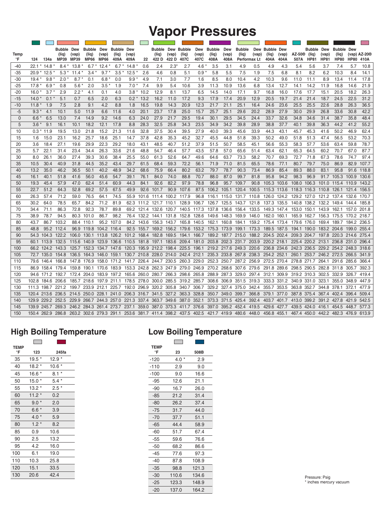# **Vapor Pressures**

|             |                            |                           | <b>Bubble</b>        | Dew                  | <b>Bubble</b>                    | Dew                  | <b>Bubble</b>  | Dew                     |       | <b>Bubble</b>          | Dew            | <b>Bubble</b>                                               | Dew                                                                              | <b>Bubble</b> | Dew           | <b>Bubble</b>           | Dew                                 | <b>Bubble Dew</b> |               |                                                                                                                                                       | <b>Bubble</b>        | Dew                  | <b>Bubble</b>        | Dew         |                        |
|-------------|----------------------------|---------------------------|----------------------|----------------------|----------------------------------|----------------------|----------------|-------------------------|-------|------------------------|----------------|-------------------------------------------------------------|----------------------------------------------------------------------------------|---------------|---------------|-------------------------|-------------------------------------|-------------------|---------------|-------------------------------------------------------------------------------------------------------------------------------------------------------|----------------------|----------------------|----------------------|-------------|------------------------|
| Temp<br>°F  | 124                        | 134a                      | (lig)<br><b>MP39</b> | (vap)<br><b>MP39</b> | (liq)<br><b>MP66</b>             | (vap)<br><b>MP66</b> | (liq)<br>409A  | (vap)<br>409A           | 22    | (liq)<br>422 D         | (vap)<br>422 D | (liq)<br>407C                                               | (vap)<br>407C                                                                    | (liq)<br>408A | (vap)<br>408A | (liq)                   | (vap)<br>Performax Lt               | (lig)<br>404A     | (vap)<br>404A | AZ-50®<br>507A                                                                                                                                        | (liq)<br><b>HP81</b> | (vap)<br><b>HP81</b> | (Iiq)<br><b>HP80</b> | <b>HP80</b> | (vap) $AZ-20@$<br>410A |
| $-40$       | $22.1*$                    | 14.8                      | $8.4*$               | 13.8                 | $6.7*$                           | $12.4*$              | 6.7            | 14.8                    | 0.6   | 2.4                    | $2.3^{\circ}$  | 2.7                                                         | 4.6                                                                              | 3.5           | 3.1           | 4.9                     | 0.5                                 | 4.9               | 4.3           | 5.4                                                                                                                                                   | 5.6                  | 3.7                  | 7.4                  | 5.7         | 10.8                   |
| $-35$       | $20.9*$                    | 12.5                      | $5.3*$               | 11.4 $*$             | $3.4*$                           | $9.7*$               | 3.5            | 12.5                    | 2.6   | 4.6                    | 0.8            | 5.1                                                         | 0.9                                                                              | 5.8           | 5.5           | 7.5                     | 1.9                                 | 7.5               | 6.8           | 8.1                                                                                                                                                   | 8.2                  | 6.2                  | 10.3                 | 8.4         | 14.1                   |
| $-30$       | $19.4*$                    | 9.8                       | 2.0                  | 8.7                  | 0.1                              | $6.8*$               | 0.0            | 9.9                     | 4.9   | 7.1                    | 3.0            | 7.7                                                         | 1.6                                                                              | 8.5           | 8.0           | 10.4                    | 4.2                                 | 10.3              | 9.6           | 11.0                                                                                                                                                  | 11.1                 | 8.9                  | 13.4                 | 11.4        | 17.8                   |
| $-25$       | $17.8^{\circ}$             | 6.9                       | 0.8                  | 5.6                  | 2.0                              | 3.5                  | 1.9            | 7.0                     | 7.4   | 9.9                    | 5.4            | 10.6                                                        | 3.9                                                                              | 11.3          | 10.9          | 13.6                    | 6.8                                 | 13.4              | 12.7          | 14.1                                                                                                                                                  | 14.2                 | 11.9                 | 16.8                 | 14.6        | 21.9                   |
| $-20$       | $16.0*$                    | 3.7                       | 2.9                  | 2.2                  | 4.1                              | 0.1                  | 4.0            | $3.8*$                  | 10.2  | 12.9                   | 8.1            | 13.7                                                        | 6.5                                                                              | 14.5          | 14.0          | 17.1                    | 9.7                                 | 16.8              | 16.0          | 17.6                                                                                                                                                  | 17.7                 | 15.1                 | 20.5                 | 18.2        | 26.3                   |
| $-15$       | $14.0*$                    | 0.1                       | 5.1                  | 0.7                  | 6.5                              | 2.0                  | 6.3            | $0.2*$                  | 13.2  | 16.2                   | 11.0           | 17.2                                                        | 9.3                                                                              | 17.9          | 17.4          | 20.9                    | 12.9                                | 20.5              | 19.7          | 21.4                                                                                                                                                  | 21.4                 | 18.7                 | 24.5                 | 22.5        | 31.2                   |
| $-10$       | 11.8                       | 1.9                       | 7.5                  | 2.8                  | 9.1                              | 4.2                  | 8.8            | 1.8                     | 16.5  | 19.8                   | 14.3           | 20.9                                                        | 12.3                                                                             | 21.7          | 21.1          | 25.1                    | 16.4                                | 24.6              | 23.6          | 25.5                                                                                                                                                  | 25.5                 | 22.6                 | 28.8                 | 26.3        | 36.5                   |
| $-5$        | 9.3                        | 4.1                       | 10.1                 | 5.0                  | 11.9                             | 6.6                  | 11.6           | 4.0                     | 20.1  | 23.7                   | 17.8           | 25.0                                                        | 15.7                                                                             | 25.7          | 25.1          | 29.6                    | 20.2                                | 28.9              | 27.9          | 30.0                                                                                                                                                  | 29.9                 | 26.8                 | 33.6                 | 30.8        | 42.2                   |
| $\mathbf 0$ | $6.6*$                     | 6.5                       | 13.0                 | 7.4                  | 14.9                             | 9.2                  | 14.6           | 6.3                     | 24.0  | 27.9                   | 21.7           | 29.5                                                        | 19.4                                                                             | 30.1          | 29.5          | 34.5                    | 24.4                                | 33.7              | 32.6          | 34.8                                                                                                                                                  | 34.6                 | 31.4                 | 38.7                 | 35.8        | 48.4                   |
| 5           | $3.6*$                     | 9.1                       | 16.1                 | 10.1                 | 18.2                             | 12.1                 | 17.8           | 8.8                     | 28.3  | 32.5                   | 25.8           | 34.3                                                        | 23.5                                                                             | 34.9          | 34.2          | 39.8                    | 28.9                                | 38.8              | 37.7          | 40.1                                                                                                                                                  | 39.8                 | 36.3                 | 44.2                 | 41.2        | 55.2                   |
| 10          | $0.3^{\circ}$              | 11.9                      | 19.5                 | 13.0                 | 21.8                             | 15.2                 | 21.3           | 11.6                    | 32.8  | 37.5                   | 30.4           | 39.5                                                        | 27.9                                                                             | 40.0          | 39.3          | 45.6                    | 33.9                                | 44.3              | 43.1          | 45.7                                                                                                                                                  | 45.3                 | 41.6                 | 50.2                 | 46.9        | 62.4                   |
| 15          | 1.6                        | 15.0                      | 23.1                 | 16.2                 | 25.7                             | 18.6                 | 25.1           | 14.7                    | 37.8  | 42.8                   | 35.3           | 45.2                                                        | 32.7                                                                             | 45.5          | 44.8          | 51.8                    | 39.3                                | 50.2              | 49.0          | 51.8                                                                                                                                                  | 51.3                 | 47.4                 | 56.5                 | 53.2        | 70.3                   |
| 20          | 3.6                        | 18.4                      | 27.1                 | 19.6                 | 29.9                             | 22.3                 | 29.2           | 18.0                    | 43.1  | 48.5                   | 40.7           | 51.2                                                        | 37.9                                                                             | 51.5          | 50.7          | 58.5                    | 45.1                                | 56.6              | 55.3          | 58.3                                                                                                                                                  | 57.7                 | 53.6                 | 63.4                 | 59.8        | 78.7                   |
| 25          | 5.7                        | 22.1                      | 31.4                 | 23.4                 | 34.4                             | 26.3                 | 33.6           | 21.6                    | 48.8  | 54.7                   | 46.4           | 57.7                                                        | 43.5                                                                             | 57.8          | 57.0          | 65.6                    | 51.4                                | 63.4              | 62.1          | 65.3                                                                                                                                                  | 64.5                 | 60.2                 | 70.7                 | 67.0        | 87.7                   |
| 30          | 8.0                        | 26.1                      | 36.0                 | 27.4                 | 39.3                             | 30.6                 | 38.4           | 25.5                    | 55.0  | 61.3                   | 52.6           | 64.7                                                        | 49.6                                                                             | 64.6          | 63.7          | 73.3                    | 58.2                                | 70.7              | 69.3          | 72.7                                                                                                                                                  | 71.8                 | 67.3                 | 78.6                 | 74.7        | 97.4                   |
| 35          | 10.5                       | 30.4                      | 40.9                 | 31.8                 | 44.5                             | 35.2                 | 43.4           | 29.7                    | 61.5  | 68.4                   | 59.3           | 72.2                                                        | 56.1                                                                             | 71.9          | 71.0          | 81.5                    | 65.5                                | 78.6              | 77.1          | 80.7                                                                                                                                                  | 79.7                 | 75.0                 | 86.9                 | 82.9        | 107.7                  |
| 40          | 13.2                       | 35.0                      | 46.2                 | 36.5                 | 50.1                             | 40.2                 | 48.9           | 34.2                    | 68.6  | 75.9                   | 66.4           | 80.2                                                        | 63.2                                                                             | 79.7          | 78.7          | 90.3                    | 73.4                                | 86.9              | 85.4          | 89.3                                                                                                                                                  | 88.0                 | 83.1                 | 95.8                 | 91.6        | 118.8                  |
| 45          | 16.1                       | 40.1                      | 51.8                 | 41.6                 | 56.0                             | 45.6                 | 54.7           | 39.1                    | 76.1  | 84.0                   | 74.0           | 88.8                                                        | 70.7                                                                             | 88.0          | 87.0          | 99.7                    | 81.8                                | 95.8              | 94.2          | 98.3                                                                                                                                                  | 96.9                 |                      | 91.7 105.3           | 100.9       | 130.6                  |
| 50          | 19.3                       | 45.4                      | 57.9                 | 47.0                 | 62.4                             | 51.4                 | 60.9           | 44.3                    | 84.1  | 92.6                   | 82.2           | 97.9                                                        | 78.8                                                                             | 96.8          | 95.7          | 109.7                   | 90.8                                | 105.3 103.6       |               | 108.0 106.3                                                                                                                                           |                      |                      | 101.0 115.4 110.9    |             | 143.2                  |
| 55          | 22.7                       | 51.2                      | 64.3                 | 52.8                 | 69.2                             | 57.5                 | 67.5           | 49.9                    | 92.6  | 101.7                  | 90.9           | 107.6                                                       | 87.5                                                                             | 106.2         | 105.1         | 120.4                   | 100.5                               | 115.3 113.6       |               | 118.3 116.3                                                                                                                                           |                      |                      | 110.8 126.1 121.4    |             | 156.5                  |
| 60          | 26.3                       | 57.4                      | 71.2                 | 59.0                 | 76.5                             | 64.1                 | 74.5           | 55.9                    | 101.6 | 111.4                  | 100.2          | 117.9                                                       | 96.8                                                                             | 116.1         | 115.0         | 131.7                   | 110.8                               | 126.0 124.2       |               | 129.2 127.0                                                                                                                                           |                      | 121.2                | 137.4                | 132.6       | 170.7                  |
| 65          | 30.2                       | 64.0                      | 78.5                 | 65.7                 | 84.2                             | 71.2                 | 81.9           | 62.3                    |       | 111.2 121.7 110.1      |                | 128.9                                                       | 106.7                                                                            | 126.7         | 125.5         | 143.7 121.8             |                                     | 137.3 135.5       |               | 140.8 138.2                                                                                                                                           |                      | 132.2                | 149.4                | 144.4       | 185.8                  |
| 70          | 34.4                       | 71.1                      | 86.3                 | 72.8                 | 92.3                             | 78.7                 | 89.8           |                         |       | 69.2 121.4 132.6 120.7 |                | 140.5                                                       | 117.3                                                                            | 137.8         | 136.6 156.4   |                         | 133.5                               | 149.3 147.4       |               | 153.0 150.1                                                                                                                                           |                      |                      | 143.9 162.1 157.0    |             | 201.8                  |
| 75          | 38.9                       | 78.7                      | 94.5                 | 80.3                 | 101.0                            | 86.7                 | 98.2           |                         |       | 76.4 132.2 144.1       | 131.8          | 152.8 128.6                                                 |                                                                                  |               |               |                         | 149.6 148.3 169.9 146.0 162.0 160.1 |                   |               | 165.9 162.7                                                                                                                                           |                      |                      | 156.3 175.5          | 170.2 218.7 |                        |
| 80          | 43.7                       | 86.7                      | 103.2                | 88.4                 | 110.1                            | 95.2                 | 107.0          | 84.2 143.6              |       | 156.3 143.7            |                | 165.8                                                       | 140.5                                                                            |               |               | 162.1 160.8 184.1 159.2 |                                     | 175.4 173.4       |               | 179.6 176.0                                                                                                                                           |                      | 169.4                | 189.7                | 184.2       | 236.5                  |
| 85          | 48.8                       |                           | 95.2 112.4           |                      | 96.9 119.8 104.2                 |                      | 116.4          | 92.5                    |       |                        |                |                                                             | 155.7 169.2 156.2 179.6 153.2 175.3 173.9 199.1 173.3 189.5 187.5                |               |               |                         |                                     |                   |               | 194.1 190.0                                                                                                                                           |                      | 183.2 204.6          |                      | 199.0       | 255.4                  |
| 90          | 54.3                       | 104.3                     | 122.2                | 106.0                | 130.1 113.8                      |                      | 126.2          | 101.2 168.4 182.8 169.5 |       |                        |                | 194.1 166.7                                                 |                                                                                  |               |               |                         | 189.2 187.7 215.0 188.2 204.5 202.4 |                   |               | 209.3 204.7                                                                                                                                           |                      |                      | 197.8 220.3 214.6    |             | 275.4                  |
| 95          |                            | 60.1 113.9 132.5          |                      |                      | 115.6 140.9 123.9                |                      |                |                         |       |                        |                |                                                             | 136.6 110.5 181.8 197.1 183.6 209.4 181.0 203.8 202.3 231.7 203.9 220.2 218.1    |               |               |                         |                                     |                   |               | 225.4 220.2 213.1 236.8 231.0                                                                                                                         |                      |                      |                      |             | 296.4                  |
| 100         |                            | 66.2 124.2 143.3          |                      |                      |                                  |                      |                |                         |       |                        |                | 125.7 152.3 134.7 147.6 120.3 195.9 212.2 198.4 225.5 196.1 |                                                                                  |               |               | 219.2 217.6 249.3 220.6 |                                     | 236.8 234.6       |               | 242.3 236.5 229.2 254.2 248.3                                                                                                                         |                      |                      |                      |             | 318.6                  |
| 105         |                            | 72.7 135.0 154.8          |                      |                      | 136.5 164.3 146.0 159.1          |                      |                |                         |       |                        |                | 130.7 210.8 228.0 214.0 242.4 212.1                         |                                                                                  |               |               |                         | 235.3 233.8 267.8 238.3 254.2 252.1 |                   |               | 260.1 253.7 246.2 272.5 266.5                                                                                                                         |                      |                      |                      |             | 341.9                  |
| 110         |                            | 79.6 146.4 166.8          |                      |                      |                                  |                      |                |                         |       |                        |                | 147.8 176.9 158.0 171.2 141.7 226.4 244.7 230.5 260.3 229.0 |                                                                                  |               |               |                         | 252.3 250.7 287.2 256.9 272.5 270.4 |                   |               | 278.8 271.7                                                                                                                                           |                      |                      | 264.1 291.6 285.6    |             | 366.4                  |
| 115<br>120  | 94.6                       | 86.9 158.4 179.4<br>171.2 | 192.7                |                      | 159.8 190.1 170.6<br>172.4 204.0 | 183.9                | 183.9<br>197.2 | 165.6                   | 260.0 | 280.7 266.3            |                | 298.6                                                       | 153.3 242.8 262.3 247.9 279.0 246.9 270.2 268.6 307.6 279.6 291.8 289.6<br>265.8 | 288.9         | 287.3         | 329.0                   | 297.4                               | 312.1 309.9       |               | 298.5 290.5 282.8 311.8 305.7<br>319.2 310.3                                                                                                          |                      | 302.5                | 332.9                | 326.7       | 392.3<br>419.4         |
|             |                            |                           |                      |                      | 185.7 218.6 197.9 211.1          |                      |                | 178.5 278.0             |       | 300.0 285.5            |                |                                                             |                                                                                  | 308.6         |               | 306.9 351.5             | 319.3                               | 333.3 331.2       |               | 340.9 331.0                                                                                                                                           |                      | 323.1                | 355.0                | 348.9       | 447.9                  |
| 125<br>130  | 102.8 184.6<br>111.3 198.7 |                           | 206.6<br>221.2       |                      | 199.7 233.9 212.1                |                      | 225.7          | 192.0                   | 296.9 | 320.2 305.8            |                | 319.2 285.7<br>340.7                                        | 306.7                                                                            | 329.2 327.4   |               | 375.0                   | 342.4                               | 355.7             | 353.5         | 363.8 352.7                                                                                                                                           |                      | 344.8                | 378.1                | 372.1       | 477.9                  |
| 135         | 120.4 213.6                |                           | 236.5                | 214.5                | 250.0 228.1                      |                      | 241.0          | 206.3 316.7             |       | 341.5 327.2            |                | 363.3                                                       | 328.8                                                                            | 350.7 349.0   |               | 399.7                   | 366.8                               | 379.1 377.0       |               | 387.8 375.4                                                                                                                                           |                      | 367.4                | 402.4                | 396.4       | 509.4                  |
| 140         | 129.9                      | 229.2 252.5               |                      | 229.9                | 266.7                            | 244.3 257.0          |                | 221.3                   | 337.4 | 363.7 349.6            |                | 387.0 352.1                                                 |                                                                                  | 373.3 371.5   |               | 425.4                   | 392.4                               | 403.7 401.7       |               | 413.0 399.2                                                                                                                                           |                      | 391.2 427.8          |                      | 421.9       | 542.5                  |
| 145         | 139.9 245.7                |                           | 269.3                |                      | 246.2 284.3 261.4 273.7          |                      |                | 237.1                   |       |                        |                | 359.0 387.0 373.3 411.7 376.6                               |                                                                                  |               |               | 397.0 395.2 452.4 419.5 |                                     | 429.6 427.7       |               | 439.5 424.0                                                                                                                                           |                      | 416.1                | 454.5                | 448.7       | 577.3                  |
| 150         |                            |                           |                      |                      |                                  |                      |                |                         |       |                        |                |                                                             |                                                                                  |               |               |                         |                                     |                   |               | 150.4 262.9 286.8 263.2 302.6 279.3 291.1 253.6 381.7 411.4 398.2 437.5 402.5 421.7 419.9 480.6 448.0 456.8 455.1 467.4 450.0 442.2 482.3 476.9 613.9 |                      |                      |                      |             |                        |
|             |                            |                           |                      |                      |                                  |                      |                |                         |       |                        |                |                                                             |                                                                                  |               |               |                         |                                     |                   |               |                                                                                                                                                       |                      |                      |                      |             |                        |

## **High Boiling Temperature**

| <b>TEMP</b><br>°F | 123     | 245fa   |
|-------------------|---------|---------|
| 35                | $19.5*$ | $12.9*$ |
| 40                | $18.2*$ | $10.6*$ |
| 45                | $16.6*$ | $8.1 *$ |
| 50                | $15.0*$ | $5.4*$  |
| 55                | $13.2*$ | $2.5*$  |
| 60                | $11.2*$ | 0.2     |
| 65                | $9.0*$  | 2.0     |
| 70                | $6.6*$  | 3.9     |
| 75                | 4.0 $*$ | 5.9     |
| 80                | $1.2*$  | 8.2     |
| 85                | 0.9     | 10.6    |
| 90                | 2.5     | 13.2    |
| 95                | 4.2     | 16.0    |
| 100               | 6.1     | 19.0    |
| 110               | 10.3    | 25.8    |
| 120               | 15.1    | 33.5    |
| 130               | 20.6    | 42.4    |

## **High Boiling Temperature Low Boiling Temperature**

| <b>TEMP</b> |          |         |
|-------------|----------|---------|
| $\degree$ F | 123      | 245fa   |
| 35          | $19.5*$  | $12.9*$ |
| 40          | $18.2*$  | $10.6*$ |
| 45          | 16.6 $*$ | $8.1 *$ |
| 50          | $15.0*$  | $5.4*$  |
| 55          | $13.2 *$ | $2.5*$  |
| 60          | $11.2*$  | 0.2     |
| 65          | $9.0*$   | 2.0     |
| 70          | $6.6*$   | 3.9     |
| 75          | $4.0*$   | 5.9     |
| 80          | $1.2*$   | 8.2     |
| 85          | 0.9      | 10.6    |
| 90          | 2.5      | 13.2    |
| 95          | 4.2      | 16.0    |
| 100         | 6.1      | 19.0    |
| 110         | 10.3     | 25.8    |
| 120         | 15.1     | 33.5    |
| 130         | 20.6     | 42.4    |
|             |          |         |
|             |          |         |